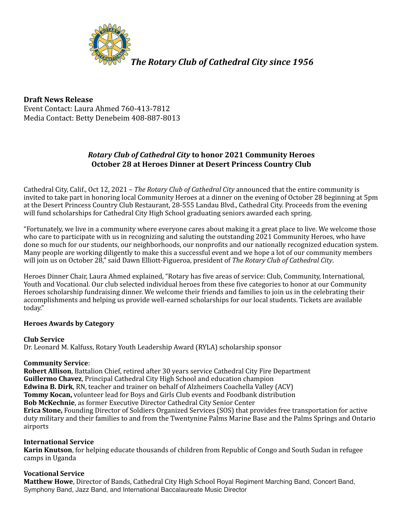

**Draft News Release** Event Contact: Laura Ahmed 760-413-7812 Media Contact: Betty Denebeim 408-887-8013

# *Rotary Club of Cathedral City* to honor 2021 Community Heroes **October 28 at Heroes Dinner at Desert Princess Country Club**

Cathedral City, Calif., Oct 12, 2021 – *The Rotary Club of Cathedral City* announced that the entire community is invited to take part in honoring local Community Heroes at a dinner on the evening of October 28 beginning at 5pm at the Desert Princess Country Club Restaurant, 28-555 Landau Blvd., Cathedral City. Proceeds from the evening will fund scholarships for Cathedral City High School graduating seniors awarded each spring.

"Fortunately, we live in a community where everyone cares about making it a great place to live. We welcome those who care to participate with us in recognizing and saluting the outstanding 2021 Community Heroes, who have done so much for our students, our neighborhoods, our nonprofits and our nationally recognized education system. Many people are working diligently to make this a successful event and we hope a lot of our community members will join us on October 28," said Dawn Elliott-Figueroa, president of The Rotary Club of Cathedral City.

Heroes Dinner Chair, Laura Ahmed explained, "Rotary has five areas of service: Club, Community, International, Youth and Vocational. Our club selected individual heroes from these five categories to honor at our Community Heroes scholarship fundraising dinner. We welcome their friends and families to join us in the celebrating their accomplishments and helping us provide well-earned scholarships for our local students. Tickets are available today." 

## **Heroes Awards by Category**

**Club Service**

Dr. Leonard M. Kalfuss, Rotary Youth Leadership Award (RYLA) scholarship sponsor

## **Community Service**:

**Robert Allison, Battalion Chief, retired after 30 years service Cathedral City Fire Department Guillermo Chavez**, Principal Cathedral City High School and education champion **Edwina B. Dirk**, RN, teacher and trainer on behalf of Alzheimers Coachella Valley (ACV) **Tommy Kocan,** volunteer lead for Boys and Girls Club events and Foodbank distribution **Bob McKechnie**, as former Executive Director Cathedral City Senior Center **Erica Stone,** Founding Director of Soldiers Organized Services (SOS) that provides free transportation for active duty military and their families to and from the Twentynine Palms Marine Base and the Palms Springs and Ontario airports

## **International Service**

**Karin Knutson**, for helping educate thousands of children from Republic of Congo and South Sudan in refugee camps in Uganda

## **Vocational Service**

**Matthew Howe**, Director of Bands, Cathedral City High School Royal Regiment Marching Band, Concert Band, Symphony Band, Jazz Band, and International Baccalaureate Music Director